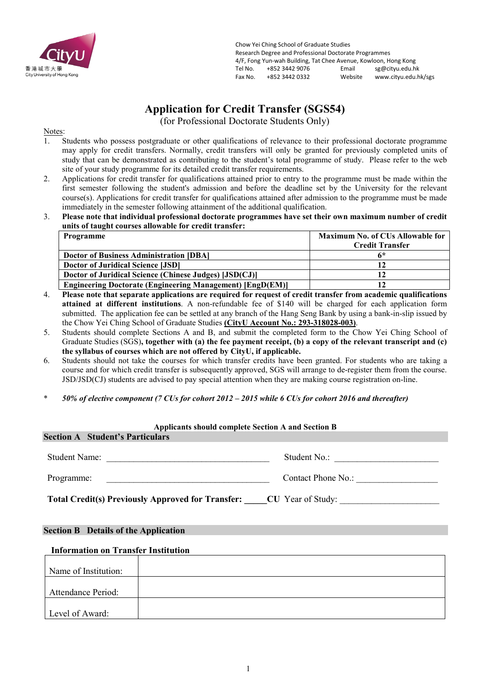

Chow Yei Ching School of Graduate Studies Research Degree and Professional Doctorate Programmes 4/F, Fong Yun-wah Building, Tat Chee Avenue, Kowloon, Hong Kong<br>Tel No. 1852 3442 9076 Email sg@citvu.edu.h Tel No. +852 3442 9076 Email sg@cityu.edu.hk www.cityu.edu.hk/sgs

## **Application for Credit Transfer (SGS54)**

(for Professional Doctorate Students Only)

Notes:

- 1. Students who possess postgraduate or other qualifications of relevance to their professional doctorate programme may apply for credit transfers. Normally, credit transfers will only be granted for previously completed units of study that can be demonstrated as contributing to the student's total programme of study. Please refer to the web site of your study programme for its detailed credit transfer requirements.
- 2. Applications for credit transfer for qualifications attained prior to entry to the programme must be made within the first semester following the student's admission and before the deadline set by the University for the relevant course(s). Applications for credit transfer for qualifications attained after admission to the programme must be made immediately in the semester following attainment of the additional qualification.
- 3. **Please note that individual professional doctorate programmes have set their own maximum number of credit units of taught courses allowable for credit transfer:**

| Programme                                                        | <b>Maximum No. of CUs Allowable for</b> |  |  |
|------------------------------------------------------------------|-----------------------------------------|--|--|
|                                                                  | <b>Credit Transfer</b>                  |  |  |
| <b>Doctor of Business Administration [DBA]</b>                   | 6*                                      |  |  |
| <b>Doctor of Juridical Science [JSD]</b>                         |                                         |  |  |
| Doctor of Juridical Science (Chinese Judges) [JSD(CJ)]           |                                         |  |  |
| <b>Engineering Doctorate (Engineering Management) [EngD(EM)]</b> |                                         |  |  |

- 4. **Please note that separate applications are required for request of credit transfer from academic qualifications attained at different institutions**. A non-refundable fee of \$140 will be charged for each application form submitted. The application fee can be settled at any branch of the Hang Seng Bank by using a bank-in-slip issued by the Chow Yei Ching School of Graduate Studies **(CityU Account No.: 293-318028-003)**.
- 5. Students should complete Sections A and B, and submit the completed form to the Chow Yei Ching School of Graduate Studies (SGS)**, together with (a) the fee payment receipt, (b) a copy of the relevant transcript and (c) the syllabus of courses which are not offered by CityU, if applicable.**
- 6. Students should not take the courses for which transfer credits have been granted. For students who are taking a course and for which credit transfer is subsequently approved, SGS will arrange to de-register them from the course. JSD/JSD(CJ) students are advised to pay special attention when they are making course registration on-line.
- \* *50% of elective component (7 CUs for cohort 2012 – 2015 while 6 CUs for cohort 2016 and thereafter)*

| Applicants should complete Section A and Section B                         |                    |  |  |  |  |
|----------------------------------------------------------------------------|--------------------|--|--|--|--|
| <b>Section A</b> Student's Particulars                                     |                    |  |  |  |  |
| Student Name:                                                              | Student No.:       |  |  |  |  |
| Programme:                                                                 | Contact Phone No.: |  |  |  |  |
| <b>Total Credit(s) Previously Approved for Transfer:</b> CU Year of Study: |                    |  |  |  |  |

## **Section B Details of the Application**

## **Information on Transfer Institution**

| Name of Institution:      |  |
|---------------------------|--|
| <b>Attendance Period:</b> |  |
| Level of Award:           |  |